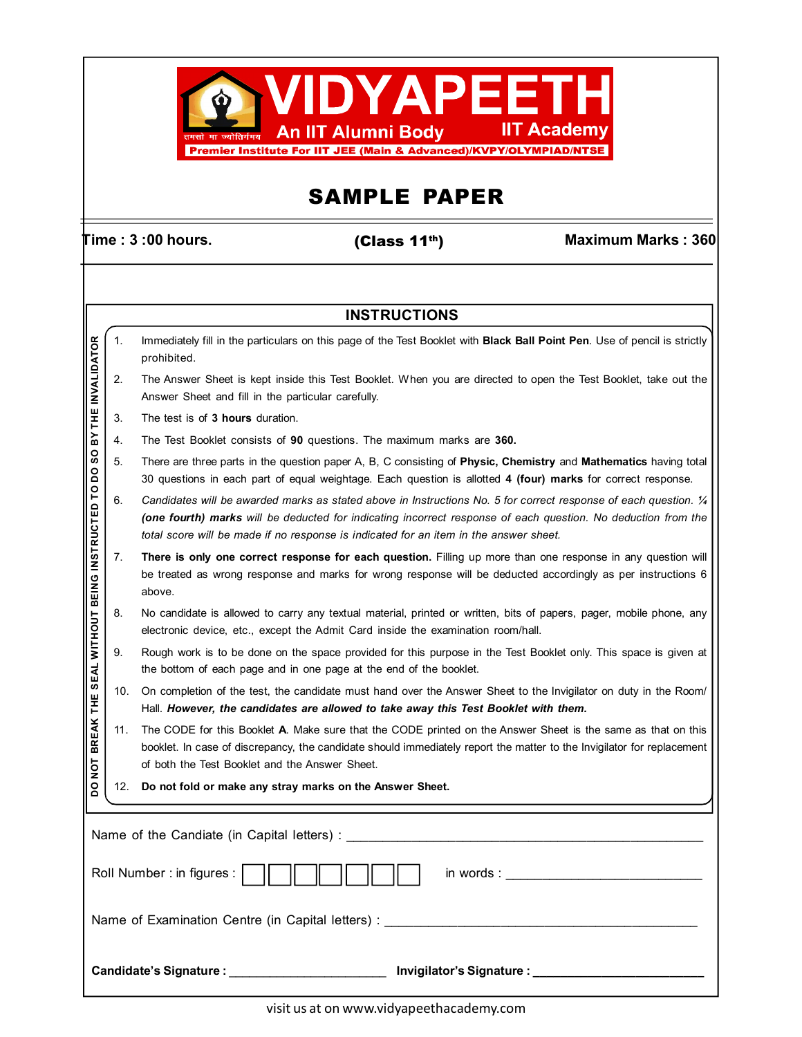

# SAMPLE PAPER

(Class 11th)

 $\overline{\text{Time}}$  : 3 :00 hours.  $\overline{\text{Change}}$  :  $\overline{\text{Change}}$  :  $\overline{\text{Change}}$  :  $\overline{\text{Change}}$  :  $\overline{\text{Value}}$  :  $\overline{\text{Value}}$  :  $\overline{\text{Value}}$  :  $\overline{\text{Value}}$  :  $\overline{\text{Value}}$  :  $\overline{\text{Value}}$  :  $\overline{\text{Value}}$  :  $\overline{\text{Value}}$  :  $\overline{\text{Value}}$  :  $\overline{\text{Value}}$  :  $\overline{\text{Value}}$  :

### **INSTRUCTIONS**

|                                  | 1.                                                                         | Immediately fill in the particulars on this page of the Test Booklet with <b>Black Ball Point Pen</b> . Use of pencil is strictly<br>prohibited.                                                                                                                                                                            |  |  |  |  |  |  |  |  |  |
|----------------------------------|----------------------------------------------------------------------------|-----------------------------------------------------------------------------------------------------------------------------------------------------------------------------------------------------------------------------------------------------------------------------------------------------------------------------|--|--|--|--|--|--|--|--|--|
| BY THE INVALIDATOR               | 2.                                                                         | The Answer Sheet is kept inside this Test Booklet. When you are directed to open the Test Booklet, take out the<br>Answer Sheet and fill in the particular carefully.                                                                                                                                                       |  |  |  |  |  |  |  |  |  |
|                                  | 3.                                                                         | The test is of 3 hours duration.                                                                                                                                                                                                                                                                                            |  |  |  |  |  |  |  |  |  |
|                                  | 4.                                                                         | The Test Booklet consists of 90 questions. The maximum marks are 360.                                                                                                                                                                                                                                                       |  |  |  |  |  |  |  |  |  |
| SO<br><b>O</b>                   | 5.                                                                         | There are three parts in the question paper A, B, C consisting of Physic, Chemistry and Mathematics having total<br>30 questions in each part of equal weightage. Each question is allotted 4 (four) marks for correct response.                                                                                            |  |  |  |  |  |  |  |  |  |
| SEAL WITHOUT BEING INSTRUCTED TO | 6.                                                                         | Candidates will be awarded marks as stated above in Instructions No. 5 for correct response of each question. 1/4<br>(one fourth) marks will be deducted for indicating incorrect response of each question. No deduction from the<br>total score will be made if no response is indicated for an item in the answer sheet. |  |  |  |  |  |  |  |  |  |
|                                  | 7.                                                                         | There is only one correct response for each question. Filling up more than one response in any question will<br>be treated as wrong response and marks for wrong response will be deducted accordingly as per instructions 6<br>above.                                                                                      |  |  |  |  |  |  |  |  |  |
|                                  | 8.                                                                         | No candidate is allowed to carry any textual material, printed or written, bits of papers, pager, mobile phone, any<br>electronic device, etc., except the Admit Card inside the examination room/hall.                                                                                                                     |  |  |  |  |  |  |  |  |  |
|                                  | 9.                                                                         | Rough work is to be done on the space provided for this purpose in the Test Booklet only. This space is given at<br>the bottom of each page and in one page at the end of the booklet.                                                                                                                                      |  |  |  |  |  |  |  |  |  |
|                                  | 10.                                                                        | On completion of the test, the candidate must hand over the Answer Sheet to the Invigilator on duty in the Room/<br>Hall. However, the candidates are allowed to take away this Test Booklet with them.                                                                                                                     |  |  |  |  |  |  |  |  |  |
| <b>BREAK THE</b><br>TON          | 11.                                                                        | The CODE for this Booklet A. Make sure that the CODE printed on the Answer Sheet is the same as that on this<br>booklet. In case of discrepancy, the candidate should immediately report the matter to the Invigilator for replacement<br>of both the Test Booklet and the Answer Sheet.                                    |  |  |  |  |  |  |  |  |  |
| <b>DO</b>                        | 12.                                                                        | Do not fold or make any stray marks on the Answer Sheet.                                                                                                                                                                                                                                                                    |  |  |  |  |  |  |  |  |  |
|                                  |                                                                            |                                                                                                                                                                                                                                                                                                                             |  |  |  |  |  |  |  |  |  |
|                                  |                                                                            | Roll Number : in figures :  <br>in words : the contract of the contract of the contract of the contract of the contract of the contract of the contract of the contract of the contract of the contract of the contract of the contract of the contract of the                                                              |  |  |  |  |  |  |  |  |  |
|                                  |                                                                            | Name of Examination Centre (in Capital letters) :                                                                                                                                                                                                                                                                           |  |  |  |  |  |  |  |  |  |
|                                  | Candidate's Signature :<br>___________________ Invigilator's Signature : _ |                                                                                                                                                                                                                                                                                                                             |  |  |  |  |  |  |  |  |  |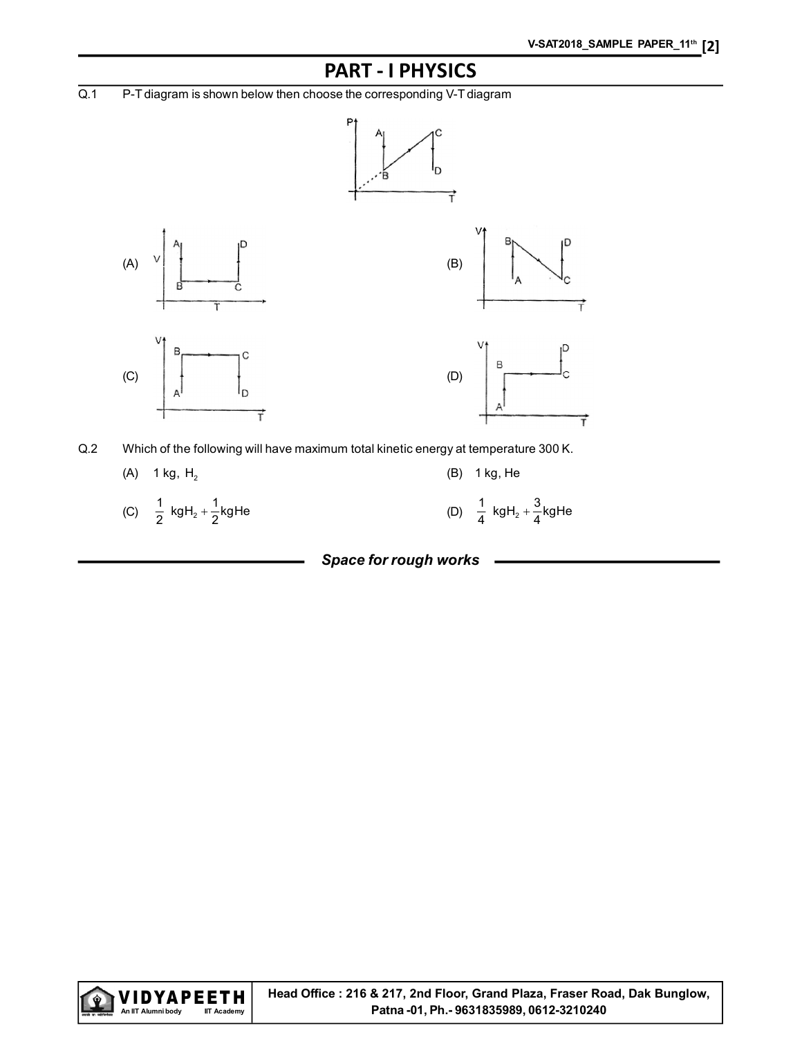## PART - I PHYSICS

Q.1 P-T diagram is shown below then choose the corresponding V-T diagram



Q.2 Which of the following will have maximum total kinetic energy at temperature 300 K.

(A)  $1 \text{ kg}$ , H<sub>2</sub> (B)  $1 \text{ kg}$ , He (C)  $\frac{1}{2}$  kgH<sub>2</sub> +  $\frac{1}{2}$ kgHe  $+\frac{1}{2}$ kgHe (D)  $\frac{1}{4}$  kgH<sub>2</sub> +  $\frac{3}{4}$ kgHe

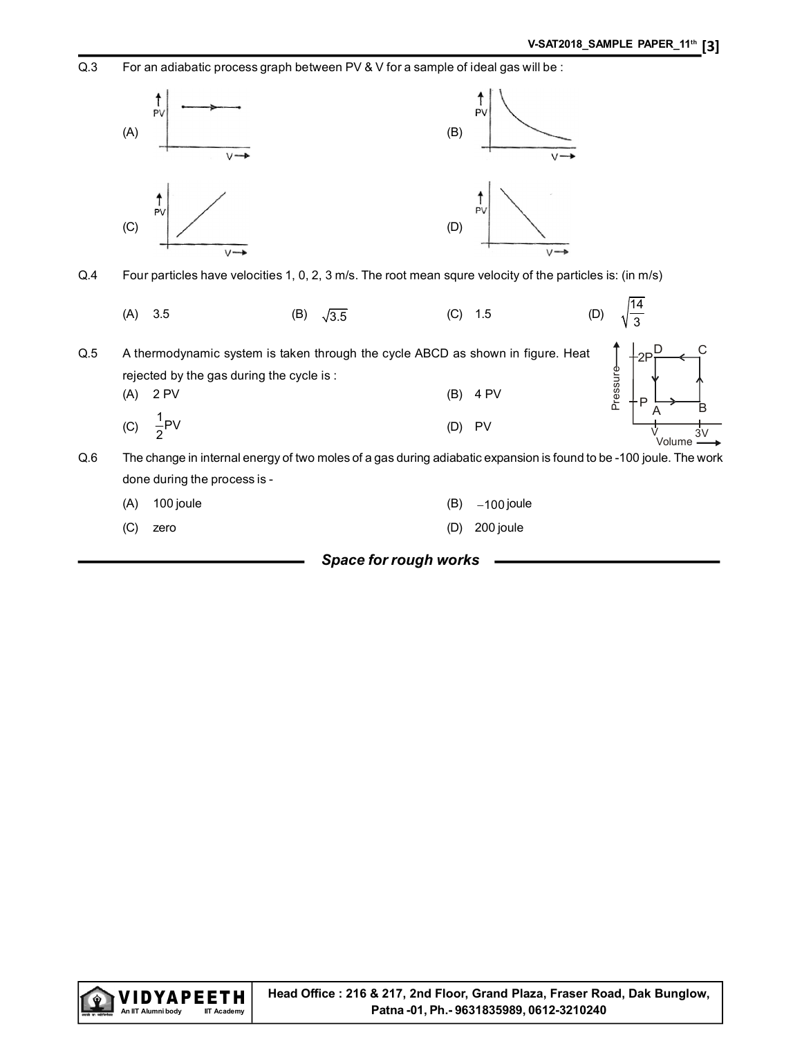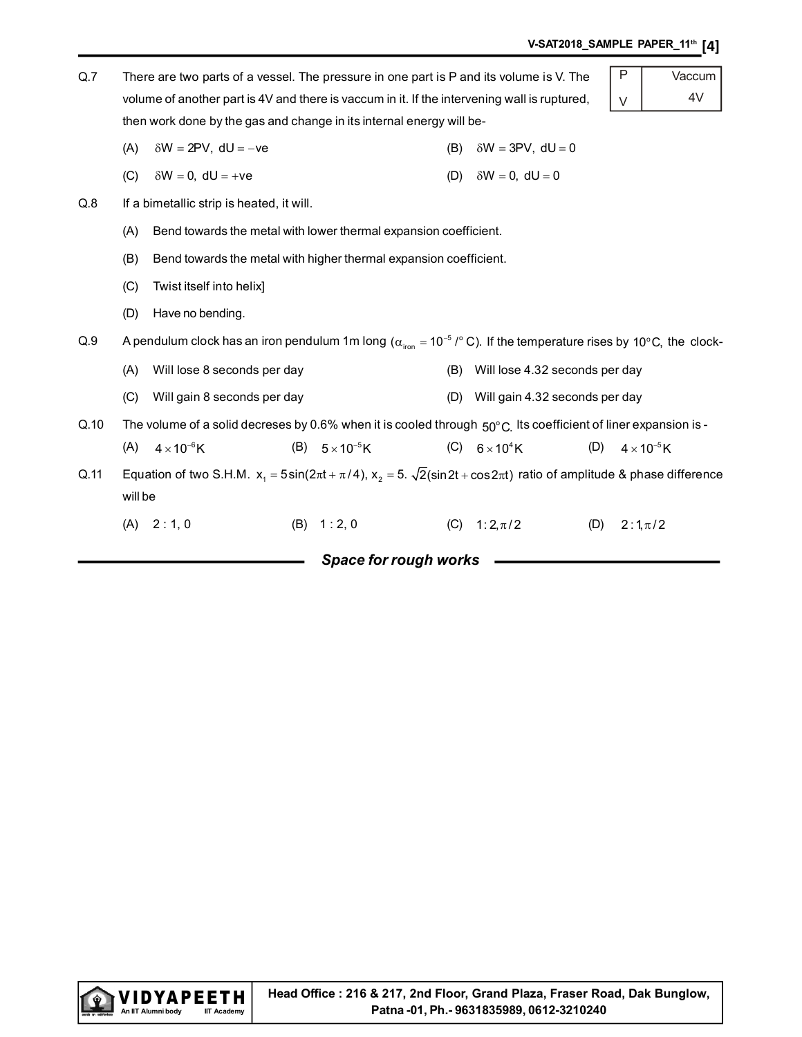| V-SAT2018_SAMPLE PAPER_11 <sup>th</sup> [4] |
|---------------------------------------------|
|---------------------------------------------|

| Q.7  |         | There are two parts of a vessel. The pressure in one part is P and its volume is V. The                                                       |  |                          |     |                                | P | Vaccum               |  |  |  |  |
|------|---------|-----------------------------------------------------------------------------------------------------------------------------------------------|--|--------------------------|-----|--------------------------------|---|----------------------|--|--|--|--|
|      |         | 4V<br>volume of another part is 4V and there is vaccum in it. If the intervening wall is ruptured,<br>$\vee$                                  |  |                          |     |                                |   |                      |  |  |  |  |
|      |         | then work done by the gas and change in its internal energy will be-                                                                          |  |                          |     |                                |   |                      |  |  |  |  |
|      | (A)     | $\delta W = 2PV$ , dU = -ve                                                                                                                   |  |                          | (B) | $\delta W = 3PV$ , dU = 0      |   |                      |  |  |  |  |
|      | (C)     | $\delta W = 0$ , dU = +ve                                                                                                                     |  |                          | (D) | $\delta W = 0$ , dU = 0        |   |                      |  |  |  |  |
| Q.8  |         | If a bimetallic strip is heated, it will.                                                                                                     |  |                          |     |                                |   |                      |  |  |  |  |
|      | (A)     | Bend towards the metal with lower thermal expansion coefficient.                                                                              |  |                          |     |                                |   |                      |  |  |  |  |
|      | (B)     | Bend towards the metal with higher thermal expansion coefficient.                                                                             |  |                          |     |                                |   |                      |  |  |  |  |
|      | (C)     | Twist itself into helix]                                                                                                                      |  |                          |     |                                |   |                      |  |  |  |  |
|      | (D)     | Have no bending.                                                                                                                              |  |                          |     |                                |   |                      |  |  |  |  |
| Q.9  |         | A pendulum clock has an iron pendulum 1m long ( $\alpha_{\text{iron}}$ = 10 <sup>-5</sup> /° C). If the temperature rises by 10°C, the clock- |  |                          |     |                                |   |                      |  |  |  |  |
|      | (A)     | Will lose 8 seconds per day                                                                                                                   |  |                          | (B) | Will lose 4.32 seconds per day |   |                      |  |  |  |  |
|      | (C)     | Will gain 8 seconds per day                                                                                                                   |  |                          | (D) | Will gain 4.32 seconds per day |   |                      |  |  |  |  |
| Q.10 |         | The volume of a solid decreses by 0.6% when it is cooled through $50^{\circ}$ C. Its coefficient of liner expansion is -                      |  |                          |     |                                |   |                      |  |  |  |  |
|      | (A)     | $4 \times 10^{-6}$ K                                                                                                                          |  | (B) $5 \times 10^{-5}$ K | (C) | (D)<br>$6\times10^4$ K         |   | $4 \times 10^{-5}$ K |  |  |  |  |
| Q.11 |         | Equation of two S.H.M. $x_1 = 5\sin(2\pi t + \pi/4)$ , $x_2 = 5$ . $\sqrt{2}(\sin 2t + \cos 2\pi t)$ ratio of amplitude & phase difference    |  |                          |     |                                |   |                      |  |  |  |  |
|      | will be |                                                                                                                                               |  |                          |     |                                |   |                      |  |  |  |  |
|      | (A)     | 2:1,0                                                                                                                                         |  | (B) 1:2,0                | (C) | $1:2,\pi/2$<br>(D)             |   | $2:1,\pi/2$          |  |  |  |  |
|      |         |                                                                                                                                               |  | Space for rough works    |     |                                |   |                      |  |  |  |  |

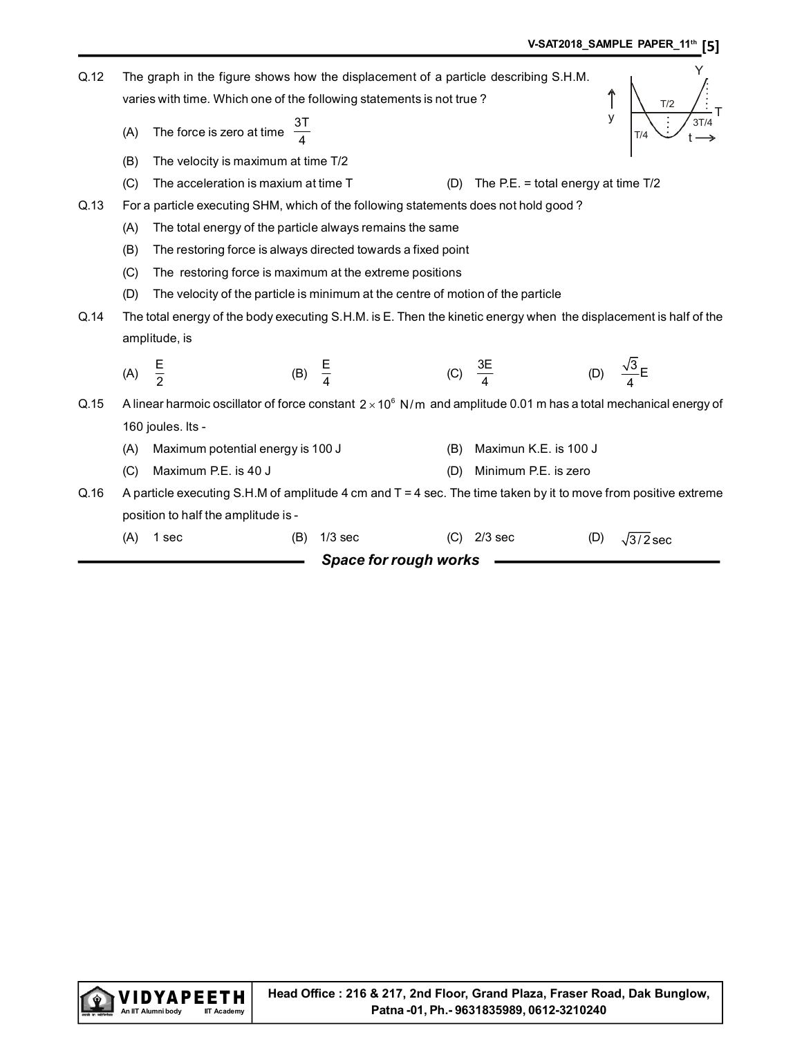| Q.12 |     | The graph in the figure shows how the displacement of a particle describing S.H.M.                                      |                   |                       |     |                                       |     | Y                         |
|------|-----|-------------------------------------------------------------------------------------------------------------------------|-------------------|-----------------------|-----|---------------------------------------|-----|---------------------------|
|      |     | varies with time. Which one of the following statements is not true?                                                    |                   |                       |     |                                       |     | T/2                       |
|      | (A) | The force is zero at time $\frac{3T}{4}$                                                                                |                   |                       |     |                                       | y   | 3T/4<br>T/4               |
|      | (B) | The velocity is maximum at time T/2                                                                                     |                   |                       |     |                                       |     |                           |
|      | (C) | The acceleration is maxium at time T                                                                                    |                   |                       | (D) | The P.E. = total energy at time $T/2$ |     |                           |
| Q.13 |     | For a particle executing SHM, which of the following statements does not hold good?                                     |                   |                       |     |                                       |     |                           |
|      | (A) | The total energy of the particle always remains the same                                                                |                   |                       |     |                                       |     |                           |
|      | (B) | The restoring force is always directed towards a fixed point                                                            |                   |                       |     |                                       |     |                           |
|      | (C) | The restoring force is maximum at the extreme positions                                                                 |                   |                       |     |                                       |     |                           |
|      | (D) | The velocity of the particle is minimum at the centre of motion of the particle                                         |                   |                       |     |                                       |     |                           |
| Q.14 |     | The total energy of the body executing S.H.M. is E. Then the kinetic energy when the displacement is half of the        |                   |                       |     |                                       |     |                           |
|      |     | amplitude, is                                                                                                           |                   |                       |     |                                       |     |                           |
|      |     |                                                                                                                         |                   |                       |     |                                       |     | (D) $\frac{\sqrt{3}}{4}E$ |
|      | (A) | $rac{E}{2}$                                                                                                             | (B) $\frac{E}{4}$ |                       |     | (C) $\frac{3E}{4}$                    |     |                           |
| Q.15 |     | A linear harmoic oscillator of force constant $2 \times 10^6$ N/m and amplitude 0.01 m has a total mechanical energy of |                   |                       |     |                                       |     |                           |
|      |     | 160 joules. Its -                                                                                                       |                   |                       |     |                                       |     |                           |
|      | (A) | Maximum potential energy is 100 J                                                                                       |                   |                       | (B) | Maximun K.E. is 100 J                 |     |                           |
|      | (C) | Maximum P.E. is 40 J                                                                                                    |                   |                       | (D) | Minimum P.E. is zero                  |     |                           |
| Q.16 |     | A particle executing S.H.M of amplitude 4 cm and $T = 4$ sec. The time taken by it to move from positive extreme        |                   |                       |     |                                       |     |                           |
|      |     | position to half the amplitude is -                                                                                     |                   |                       |     |                                       |     |                           |
|      | (A) | 1 sec                                                                                                                   | (B)               | $1/3$ sec             | (C) | $2/3$ sec                             | (D) | $\sqrt{3/2}$ sec          |
|      |     |                                                                                                                         |                   | Space for rough works |     |                                       |     |                           |
|      |     |                                                                                                                         |                   |                       |     |                                       |     |                           |

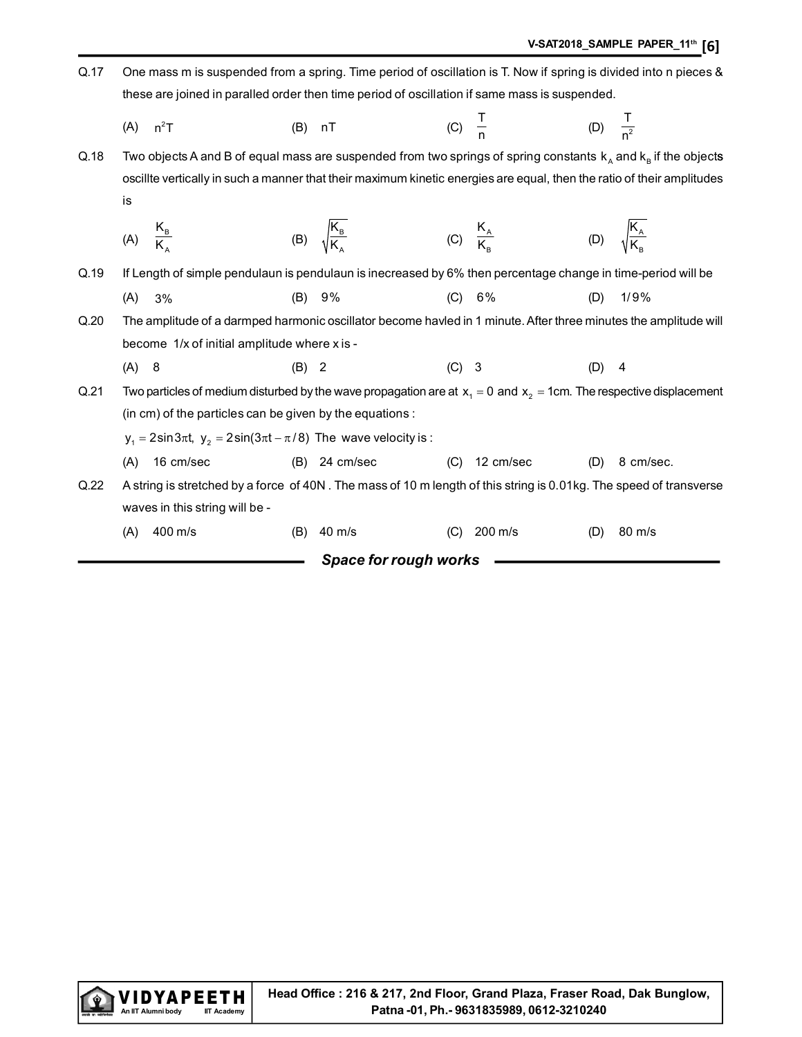| Q.17 |     | One mass m is suspended from a spring. Time period of oscillation is T. Now if spring is divided into n pieces &         |       |                                                         |         |                       |                     |                            |
|------|-----|--------------------------------------------------------------------------------------------------------------------------|-------|---------------------------------------------------------|---------|-----------------------|---------------------|----------------------------|
|      |     | these are joined in paralled order then time period of oscillation if same mass is suspended.                            |       |                                                         |         |                       |                     |                            |
|      | (A) | $n^2T$                                                                                                                   |       | $(B)$ nT                                                |         | (C) $\frac{1}{n}$     | (D) $\frac{T}{n^2}$ |                            |
| Q.18 |     | Two objects A and B of equal mass are suspended from two springs of spring constants $k_A$ and $k_B$ if the objects      |       |                                                         |         |                       |                     |                            |
|      |     | oscillte vertically in such a manner that their maximum kinetic energies are equal, then the ratio of their amplitudes   |       |                                                         |         |                       |                     |                            |
|      | is  |                                                                                                                          |       |                                                         |         |                       |                     |                            |
|      |     | (A) $\frac{K_B}{K}$                                                                                                      |       | (B) $\sqrt{\frac{\mathsf{K}_{\mathrm{B}}}{\mathsf{K}}}$ |         | (C) $\frac{K_A}{K_B}$ |                     | (D) $\sqrt{\frac{K_A}{K}}$ |
| Q.19 |     | If Length of simple pendulaun is pendulaun is inecreased by 6% then percentage change in time-period will be             |       |                                                         |         |                       |                     |                            |
|      | (A) | 3%                                                                                                                       |       | (B) 9%                                                  | (C)     | 6%                    | (D)                 | 1/9%                       |
| Q.20 |     | The amplitude of a darmped harmonic oscillator become havled in 1 minute. After three minutes the amplitude will         |       |                                                         |         |                       |                     |                            |
|      |     | become 1/x of initial amplitude where x is -                                                                             |       |                                                         |         |                       |                     |                            |
|      | (A) | 8                                                                                                                        | (B) 2 |                                                         | $(C)$ 3 |                       | (D)                 | 4                          |
| Q.21 |     | Two particles of medium disturbed by the wave propagation are at $x_1 = 0$ and $x_2 = 1$ cm. The respective displacement |       |                                                         |         |                       |                     |                            |
|      |     | (in cm) of the particles can be given by the equations :                                                                 |       |                                                         |         |                       |                     |                            |
|      |     | $y_1 = 2\sin 3\pi t$ , $y_2 = 2\sin(3\pi t - \pi/8)$ The wave velocity is:                                               |       |                                                         |         |                       |                     |                            |
|      | (A) | 16 cm/sec                                                                                                                |       | $(B)$ 24 cm/sec                                         | (C)     | 12 cm/sec             | (D)                 | 8 cm/sec.                  |
| Q.22 |     | A string is stretched by a force of 40N. The mass of 10 m length of this string is 0.01kg. The speed of transverse       |       |                                                         |         |                       |                     |                            |
|      |     | waves in this string will be -                                                                                           |       |                                                         |         |                       |                     |                            |
|      | (A) | 400 m/s                                                                                                                  | (B)   | 40 m/s                                                  | (C)     | 200 m/s               | (D)                 | 80 m/s                     |
|      |     |                                                                                                                          |       | Space for rough works                                   |         |                       |                     |                            |

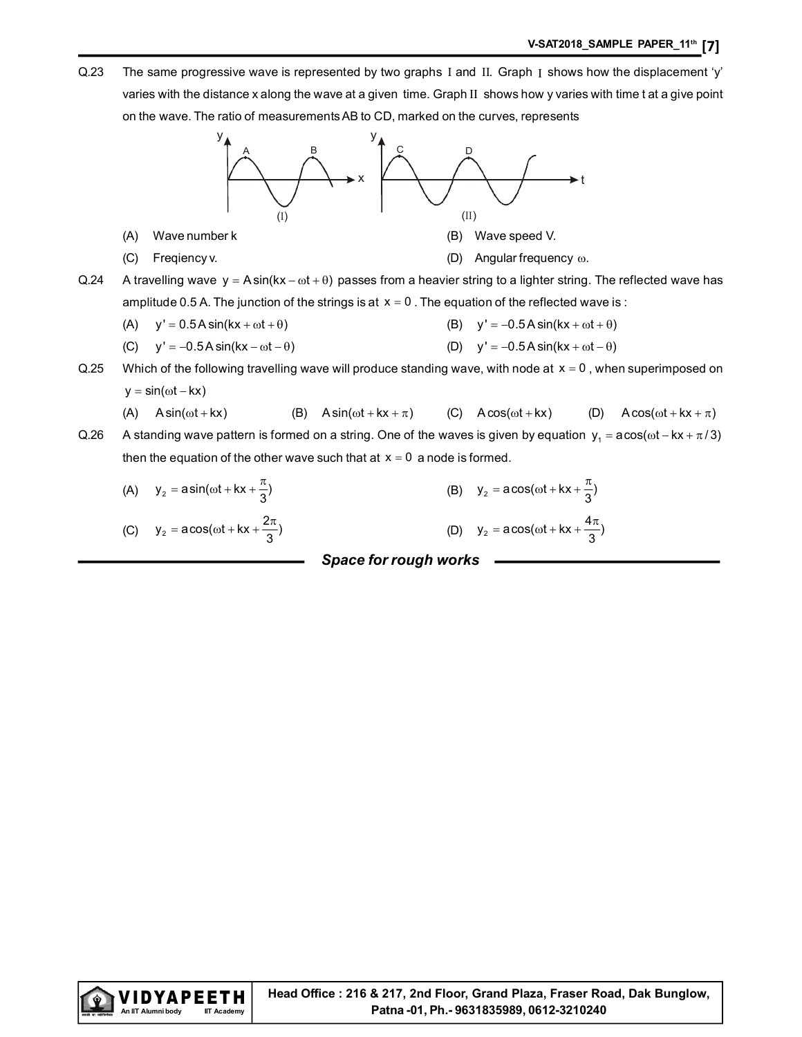Q.23 The same progressive wave is represented by two graphs I and II. Graph I shows how the displacement 'y' varies with the distance x along the wave at a given time. Graph II shows how y varies with time t at a give point on the wave. The ratio of measurements AB to CD, marked on the curves, represents



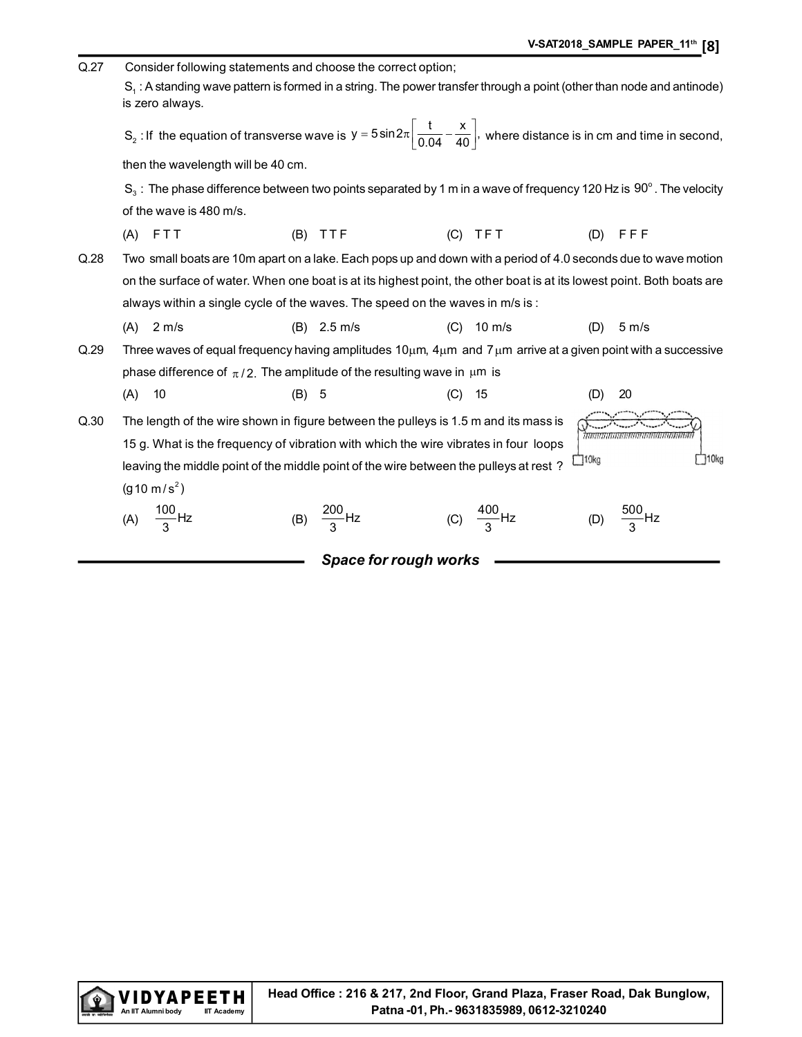| Q.27                                                                                                                                                 | Consider following statements and choose the correct option; |                                                                                                                                                                     |         |                              |     |                        |             |                                        |  |  |
|------------------------------------------------------------------------------------------------------------------------------------------------------|--------------------------------------------------------------|---------------------------------------------------------------------------------------------------------------------------------------------------------------------|---------|------------------------------|-----|------------------------|-------------|----------------------------------------|--|--|
| S <sub>1</sub> : A standing wave pattern is formed in a string. The power transfer through a point (other than node and antinode)<br>is zero always. |                                                              |                                                                                                                                                                     |         |                              |     |                        |             |                                        |  |  |
|                                                                                                                                                      |                                                              | S <sub>2</sub> : If the equation of transverse wave is $y = 5 \sin 2\pi \left( \frac{t}{0.04} - \frac{x}{40} \right)$ , where distance is in cm and time in second, |         |                              |     |                        |             |                                        |  |  |
|                                                                                                                                                      | then the wavelength will be 40 cm.                           |                                                                                                                                                                     |         |                              |     |                        |             |                                        |  |  |
|                                                                                                                                                      |                                                              | $S_3$ : The phase difference between two points separated by 1 m in a wave of frequency 120 Hz is 90°. The velocity                                                 |         |                              |     |                        |             |                                        |  |  |
|                                                                                                                                                      |                                                              | of the wave is 480 m/s.                                                                                                                                             |         |                              |     |                        |             |                                        |  |  |
|                                                                                                                                                      | (A)                                                          | FTT                                                                                                                                                                 | (B)     | TTF                          | (C) | TFT                    | (D)         | FFF                                    |  |  |
| Q.28                                                                                                                                                 |                                                              | Two small boats are 10m apart on a lake. Each pops up and down with a period of 4.0 seconds due to wave motion                                                      |         |                              |     |                        |             |                                        |  |  |
|                                                                                                                                                      |                                                              | on the surface of water. When one boat is at its highest point, the other boat is at its lowest point. Both boats are                                               |         |                              |     |                        |             |                                        |  |  |
|                                                                                                                                                      |                                                              | always within a single cycle of the waves. The speed on the waves in m/s is:                                                                                        |         |                              |     |                        |             |                                        |  |  |
|                                                                                                                                                      | (A)                                                          | $2 \, \text{m/s}$                                                                                                                                                   |         | $(B)$ 2.5 m/s                | (C) | $10 \text{ m/s}$       | (D)         | $5 \, \text{m/s}$                      |  |  |
| Q.29                                                                                                                                                 |                                                              | Three waves of equal frequency having amplitudes $10\mu m$ , $4\mu m$ and $7\mu m$ arrive at a given point with a successive                                        |         |                              |     |                        |             |                                        |  |  |
|                                                                                                                                                      |                                                              | phase difference of $\pi/2$ . The amplitude of the resulting wave in $\mu$ m is                                                                                     |         |                              |     |                        |             |                                        |  |  |
|                                                                                                                                                      | (A)                                                          | 10                                                                                                                                                                  | $(B)$ 5 |                              | (C) | 15                     | (D)         | 20                                     |  |  |
| Q.30                                                                                                                                                 |                                                              | The length of the wire shown in figure between the pulleys is 1.5 m and its mass is                                                                                 |         |                              |     |                        |             |                                        |  |  |
|                                                                                                                                                      |                                                              | 15 g. What is the frequency of vibration with which the wire vibrates in four loops                                                                                 |         |                              |     |                        |             | 7/2010/01/2010/01/10/2010/10/2010/2012 |  |  |
|                                                                                                                                                      |                                                              | leaving the middle point of the middle point of the wire between the pulleys at rest?                                                                               |         |                              |     |                        | $\Box$ 10kg | 110kg                                  |  |  |
|                                                                                                                                                      |                                                              | $(g10 \text{ m/s}^2)$                                                                                                                                               |         |                              |     |                        |             |                                        |  |  |
|                                                                                                                                                      | (A)                                                          | $\frac{100}{3}$ Hz                                                                                                                                                  | (B)     | $\frac{200}{3}$ Hz           |     | (C) $\frac{400}{3}$ Hz | (D)         | $\frac{500}{3}$ Hz                     |  |  |
|                                                                                                                                                      |                                                              |                                                                                                                                                                     |         | <b>Space for rough works</b> |     |                        |             |                                        |  |  |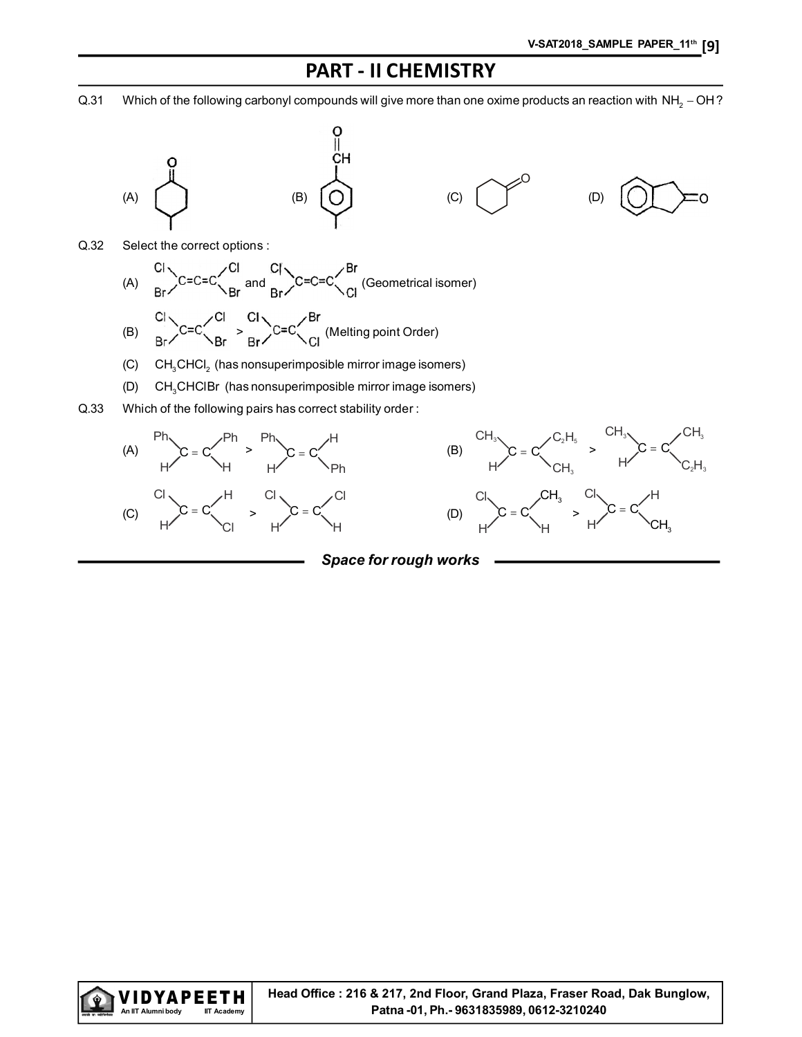## PART - II CHEMISTRY

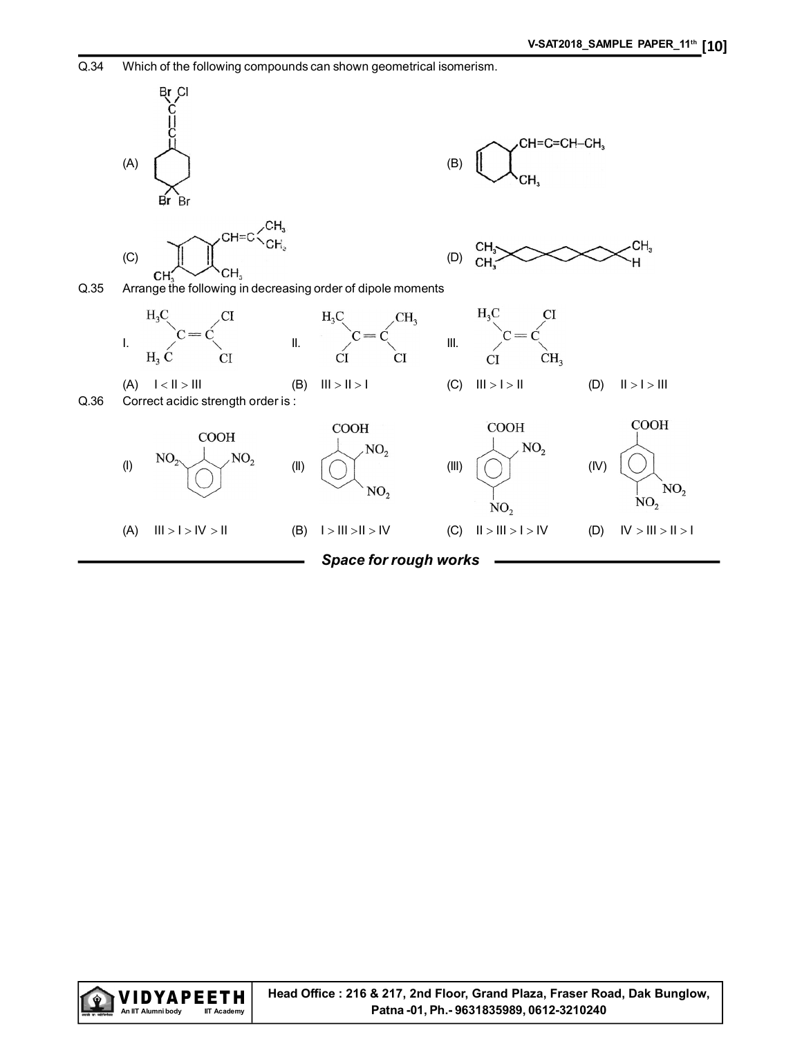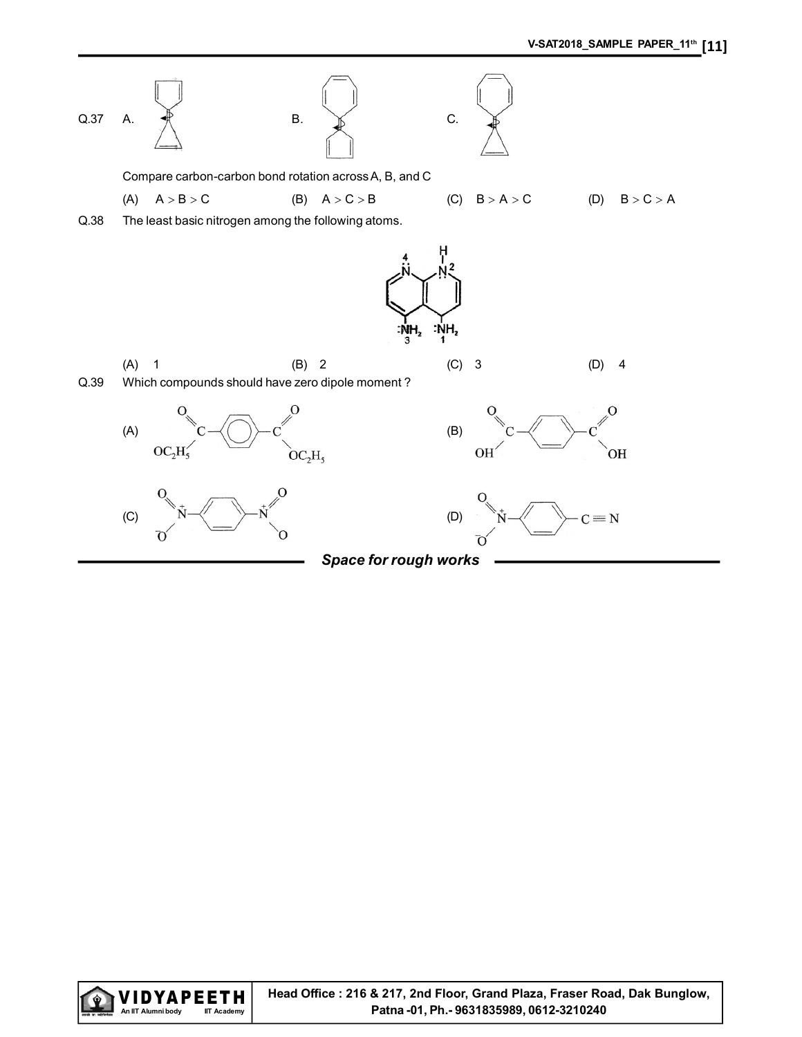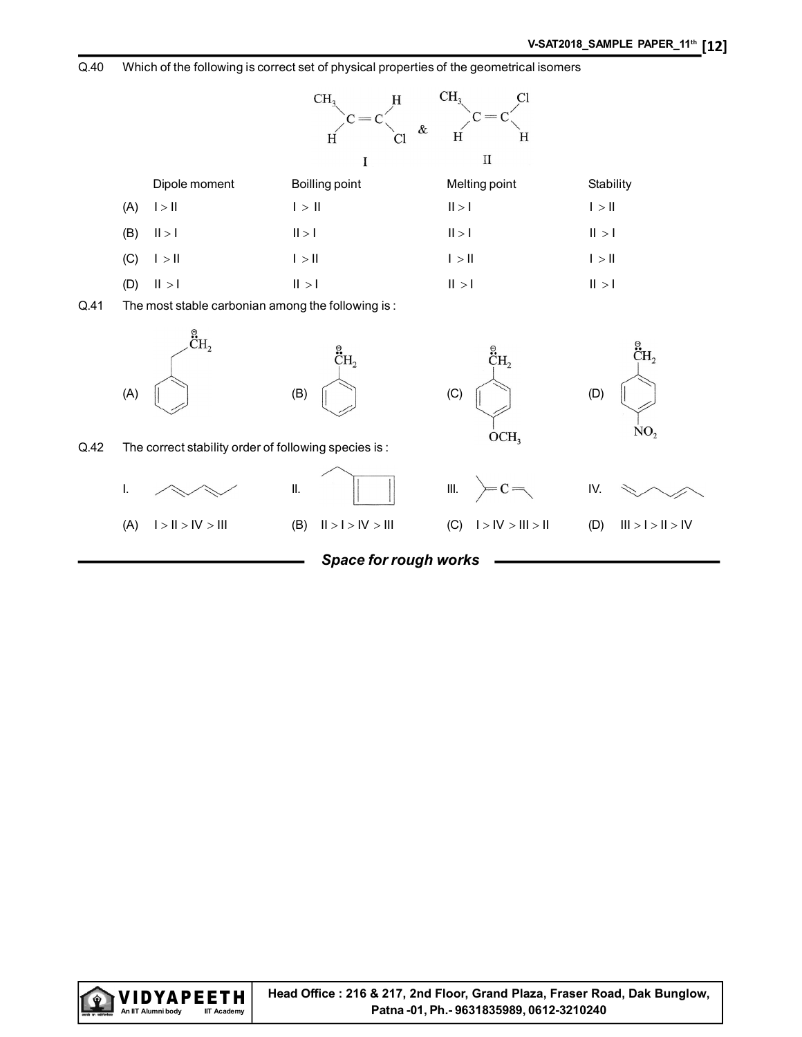Q.40 Which of the following is correct set of physical properties of the geometrical isomers



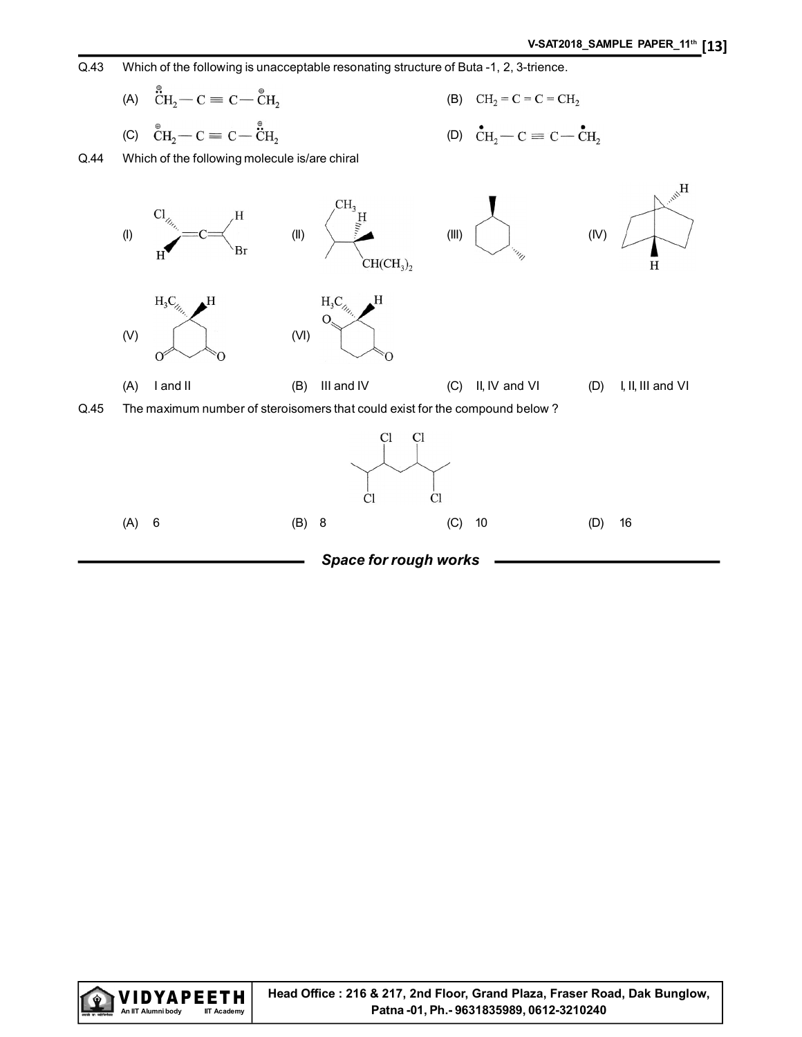

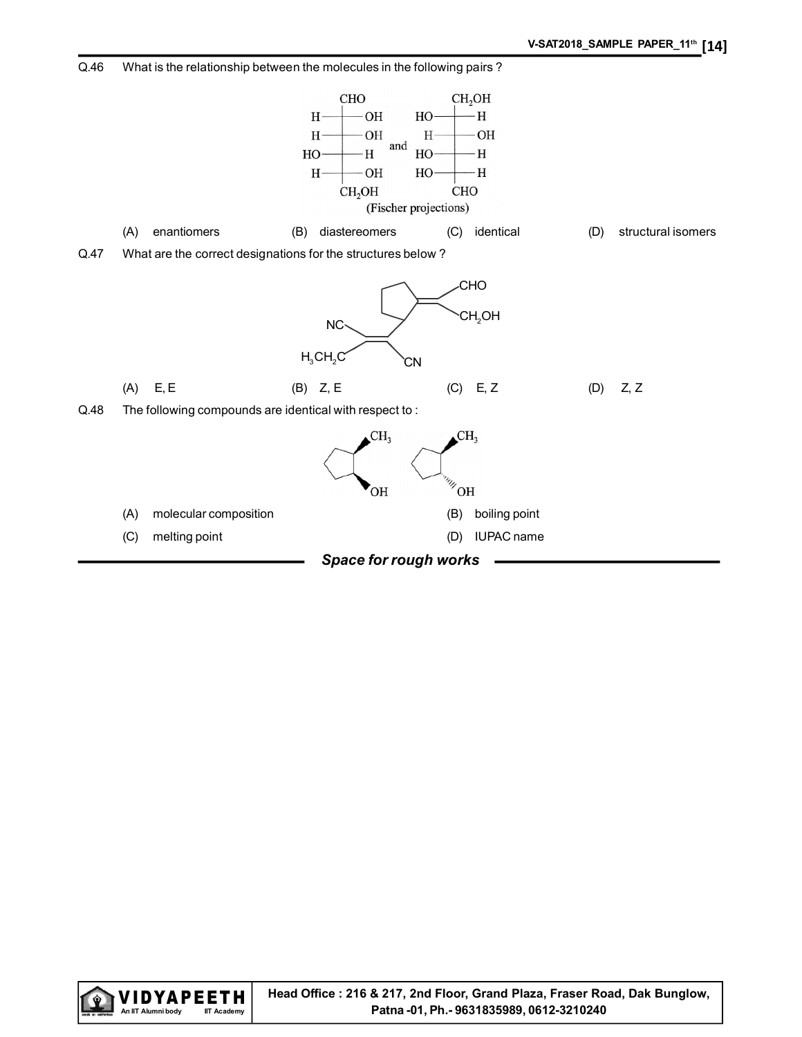

Q.46 What is the relationship between the molecules in the following pairs ?

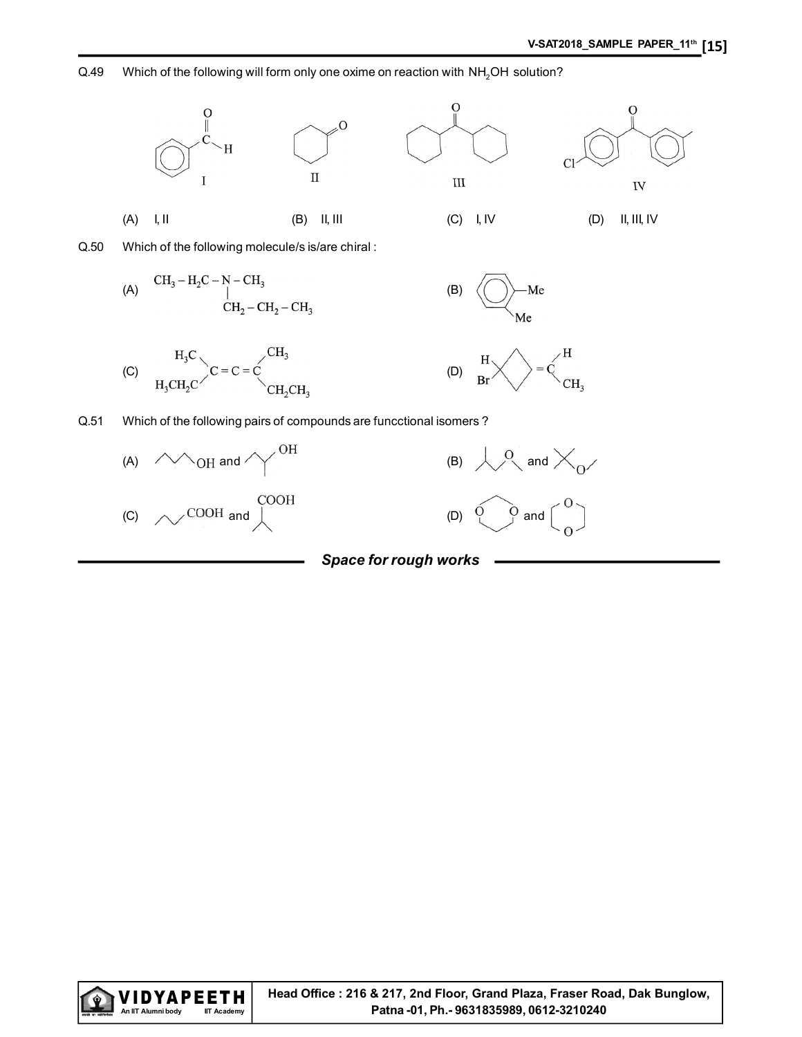#### Q.49 Which of the following will form only one oxime on reaction with NH<sub>2</sub>OH solution?



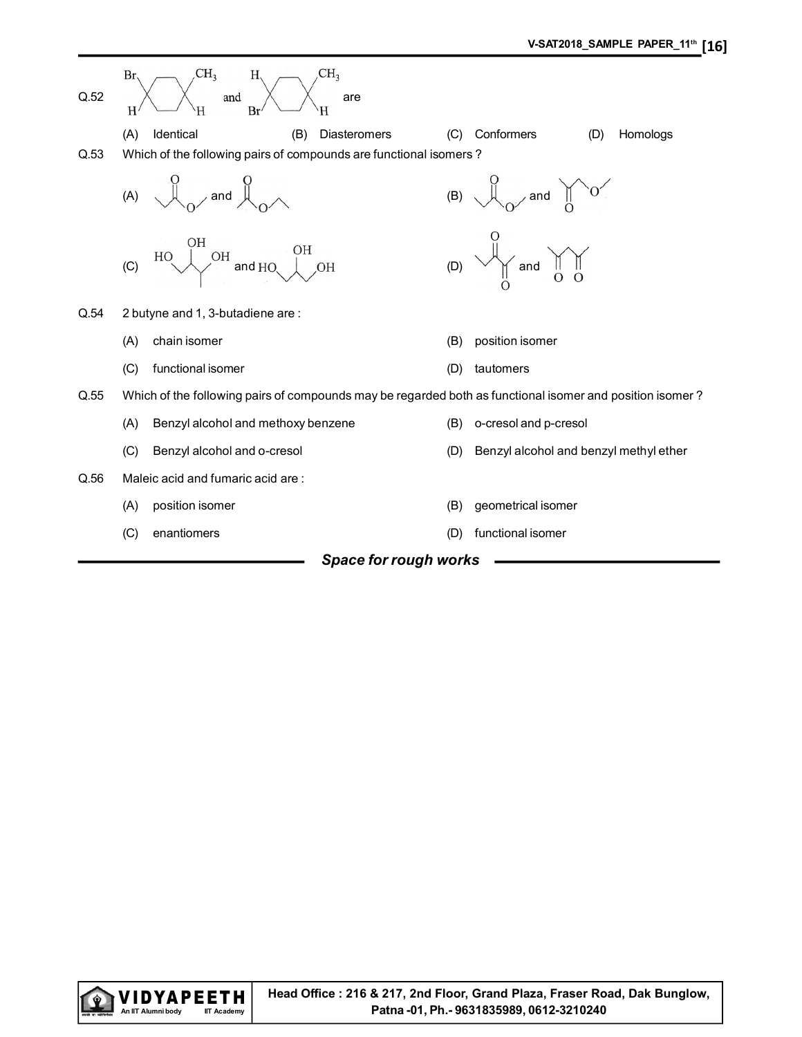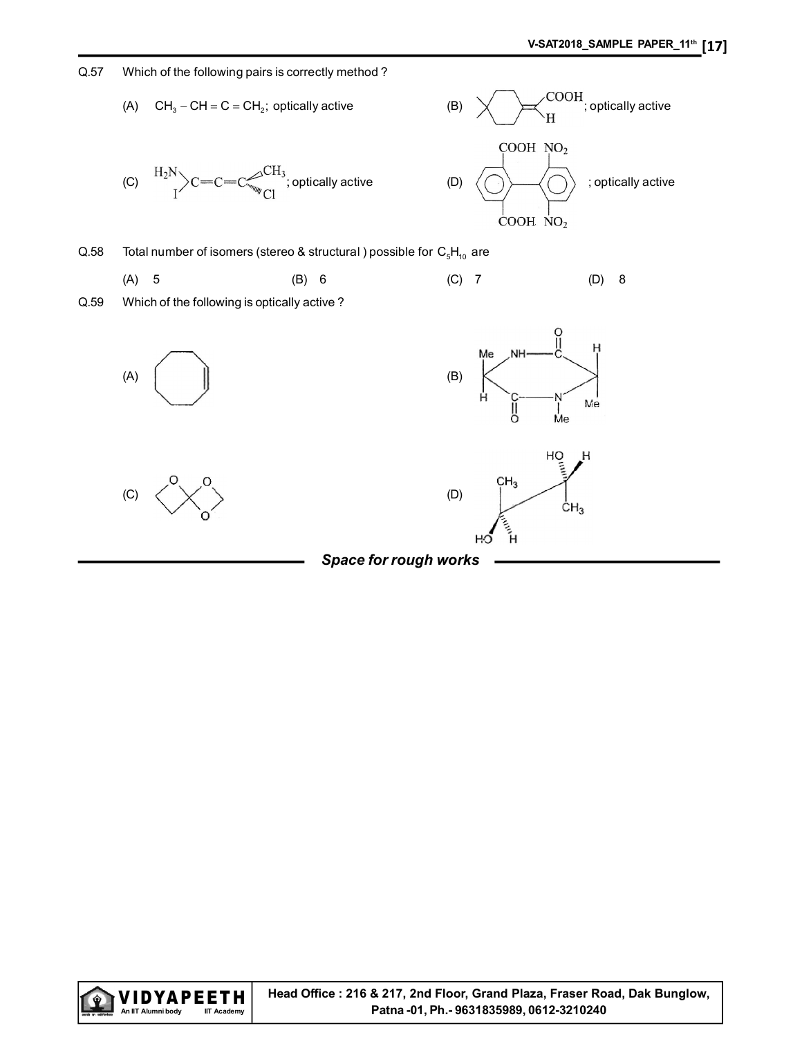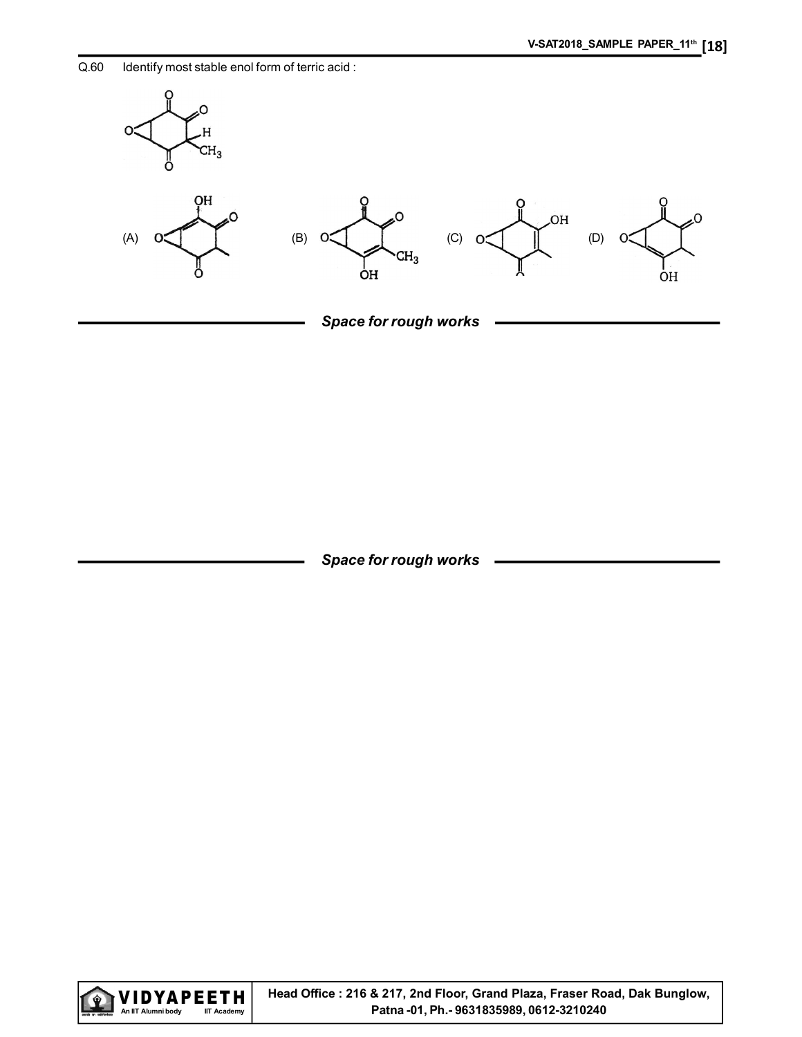Q.60 Identify most stable enol form of terric acid :



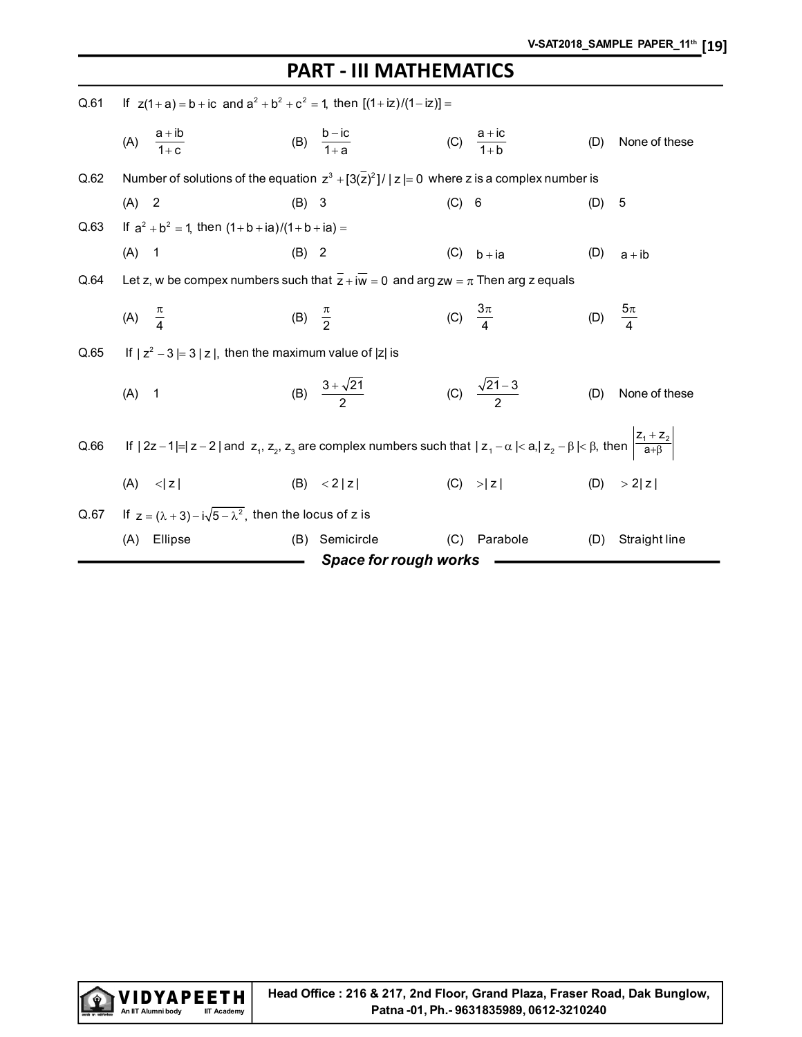# PART - III MATHEMATICS

| Q.61 | If $z(1+a) = b + ic$ and $a^2 + b^2 + c^2 = 1$ , then $[(1+iz)/(1-iz)] =$                                                                               |                     |                              |       |                             |     |                      |
|------|---------------------------------------------------------------------------------------------------------------------------------------------------------|---------------------|------------------------------|-------|-----------------------------|-----|----------------------|
|      | (A) $\frac{a+ib}{1+c}$                                                                                                                                  |                     | (B) $\frac{b-ic}{1+a}$       |       | (C) $\frac{a + ic}{1 + b}$  | (D) | None of these        |
| Q.62 | Number of solutions of the equation $z^3 + [3(\overline{z})^2]/ z  = 0$ where z is a complex number is                                                  |                     |                              |       |                             |     |                      |
|      | $(A)$ 2                                                                                                                                                 | $(B)$ 3             |                              | (C) 6 |                             | (D) | 5                    |
| Q.63 | If $a^2 + b^2 = 1$ , then $(1 + b + ia)/(1 + b + ia) =$                                                                                                 |                     |                              |       |                             |     |                      |
|      | $(A)$ 1                                                                                                                                                 | $(B)$ 2             |                              |       | $(C)$ b + ia                | (D) | $a + ib$             |
| Q.64 | Let z, w be compex numbers such that $\overline{z} + i\overline{w} = 0$ and arg zw = $\pi$ Then arg z equals                                            |                     |                              |       |                             |     |                      |
|      | (A) $\frac{\pi}{4}$                                                                                                                                     | (B) $\frac{\pi}{2}$ |                              |       | (C) $\frac{3\pi}{4}$        |     | (D) $\frac{5\pi}{4}$ |
| Q.65 | If $ z^2 - 3  = 3  z $ , then the maximum value of $ z $ is                                                                                             |                     |                              |       |                             |     |                      |
|      | $(A)$ 1                                                                                                                                                 |                     | (B) $\frac{3+\sqrt{21}}{2}$  |       | (C) $\frac{\sqrt{21-3}}{2}$ | (D) | None of these        |
| Q.66 | If $ 2z-1 = z-2 $ and $z_1, z_2, z_3$ are complex numbers such that $ z_1-\alpha < a,  z_2-\beta < \beta$ , then $\left \frac{z_1+z_2}{a+\beta}\right $ |                     |                              |       |                             |     |                      |
|      | $(A)$ $\leq  z $                                                                                                                                        |                     | (B) < 2  z                   |       | $(C)$ > z                   |     | (D) $>2 z $          |
| Q.67 | If $z = (\lambda + 3) - i\sqrt{5 - \lambda^2}$ , then the locus of z is                                                                                 |                     |                              |       |                             |     |                      |
|      | (A) Ellipse                                                                                                                                             | (B)                 | Semicircle                   | (C)   | Parabole                    | (D) | Straight line        |
|      |                                                                                                                                                         |                     | <b>Space for rough works</b> |       |                             |     |                      |

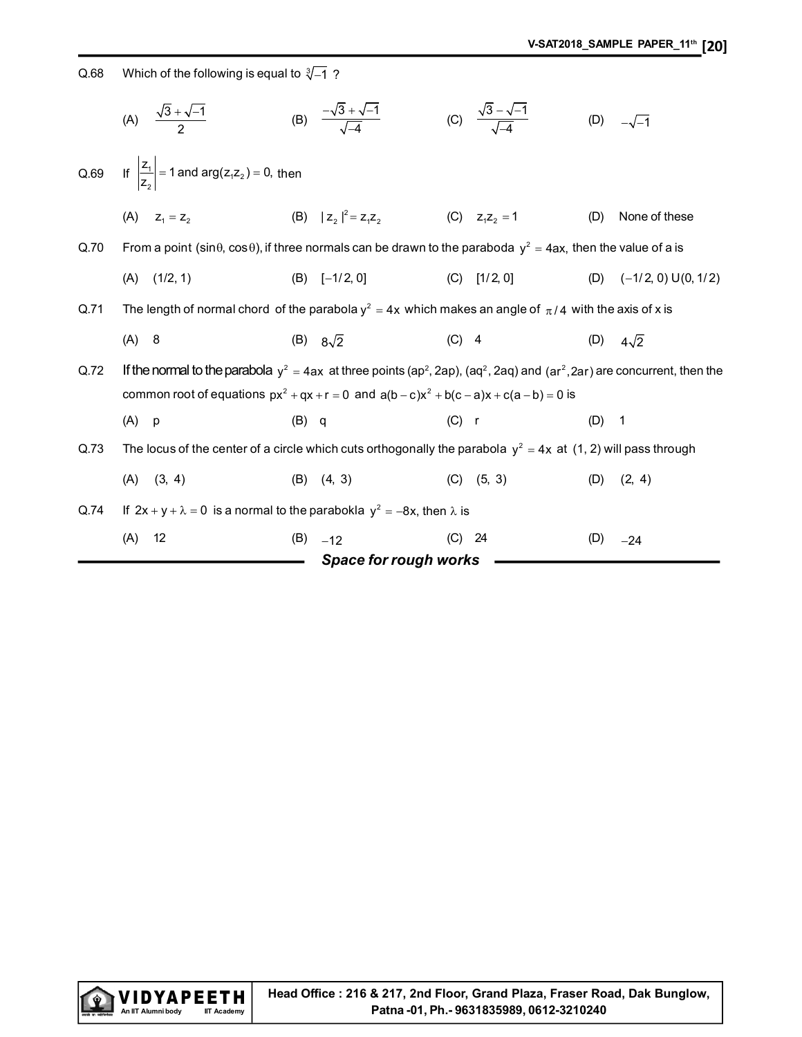Q.68 Which of the following is equal to  $\sqrt[3]{-1}$  ?

|      | (A) $\frac{\sqrt{3} + \sqrt{-1}}{2}$                                                                                            | (B) $\frac{-\sqrt{3} + \sqrt{-1}}{\sqrt{4}}$                                                                                                                                                                                                              | (C) $\frac{\sqrt{3}-\sqrt{-1}}{\sqrt{4}}$ | (D)<br>$-\sqrt{-1}$          |
|------|---------------------------------------------------------------------------------------------------------------------------------|-----------------------------------------------------------------------------------------------------------------------------------------------------------------------------------------------------------------------------------------------------------|-------------------------------------------|------------------------------|
| Q.69 | If $\left \frac{Z_1}{Z_2}\right $ = 1 and arg( $Z_1Z_2$ ) = 0, then                                                             |                                                                                                                                                                                                                                                           |                                           |                              |
|      | (A) $Z_1 = Z_2$                                                                                                                 | (B) $ z_2 ^2 = z_1 z_2$                                                                                                                                                                                                                                   | (C) $z_1z_2 = 1$                          | None of these<br>(D)         |
| Q.70 | From a point (sin $\theta$ , cos $\theta$ ), if three normals can be drawn to the paraboda $y^2 = 4ax$ , then the value of a is |                                                                                                                                                                                                                                                           |                                           |                              |
|      | (1/2, 1)<br>(A)                                                                                                                 | $(B)$ [-1/2, 0]                                                                                                                                                                                                                                           | $(C)$ [1/2, 0]                            | $(-1/2, 0)$ U(0, 1/2)<br>(D) |
| Q.71 |                                                                                                                                 | The length of normal chord of the parabola $y^2 = 4x$ which makes an angle of $\pi/4$ with the axis of x is                                                                                                                                               |                                           |                              |
|      | $(A)$ 8                                                                                                                         | (B) $8\sqrt{2}$                                                                                                                                                                                                                                           | $(C)$ 4                                   | (D) $4\sqrt{2}$              |
| Q.72 |                                                                                                                                 | If the normal to the parabola $y^2 = 4ax$ at three points (ap <sup>2</sup> , 2ap), (aq <sup>2</sup> , 2aq) and (ar <sup>2</sup> , 2ar) are concurrent, then the<br>common root of equations $px^2 + qx + r = 0$ and $a(b-c)x^2 + b(c-a)x + c(a-b) = 0$ is |                                           |                              |
|      | $(A)$ p                                                                                                                         | $(B)$ q                                                                                                                                                                                                                                                   | $(C)$ r                                   | $(D)$ 1                      |
| Q.73 |                                                                                                                                 | The locus of the center of a circle which cuts orthogonally the parabola $y^2 = 4x$ at (1, 2) will pass through                                                                                                                                           |                                           |                              |
|      | $(A)$ $(3, 4)$                                                                                                                  | $(B)$ $(4, 3)$                                                                                                                                                                                                                                            | $(C)$ $(5, 3)$                            | (2, 4)<br>(D)                |
| Q.74 | If $2x + y + \lambda = 0$ is a normal to the parabokla $y^2 = -8x$ , then $\lambda$ is                                          |                                                                                                                                                                                                                                                           |                                           |                              |
|      | 12<br>(A)                                                                                                                       | (B)<br>$-12$                                                                                                                                                                                                                                              | $(C)$ 24                                  | (D)<br>$-24$                 |
|      |                                                                                                                                 | Space for rough works                                                                                                                                                                                                                                     |                                           |                              |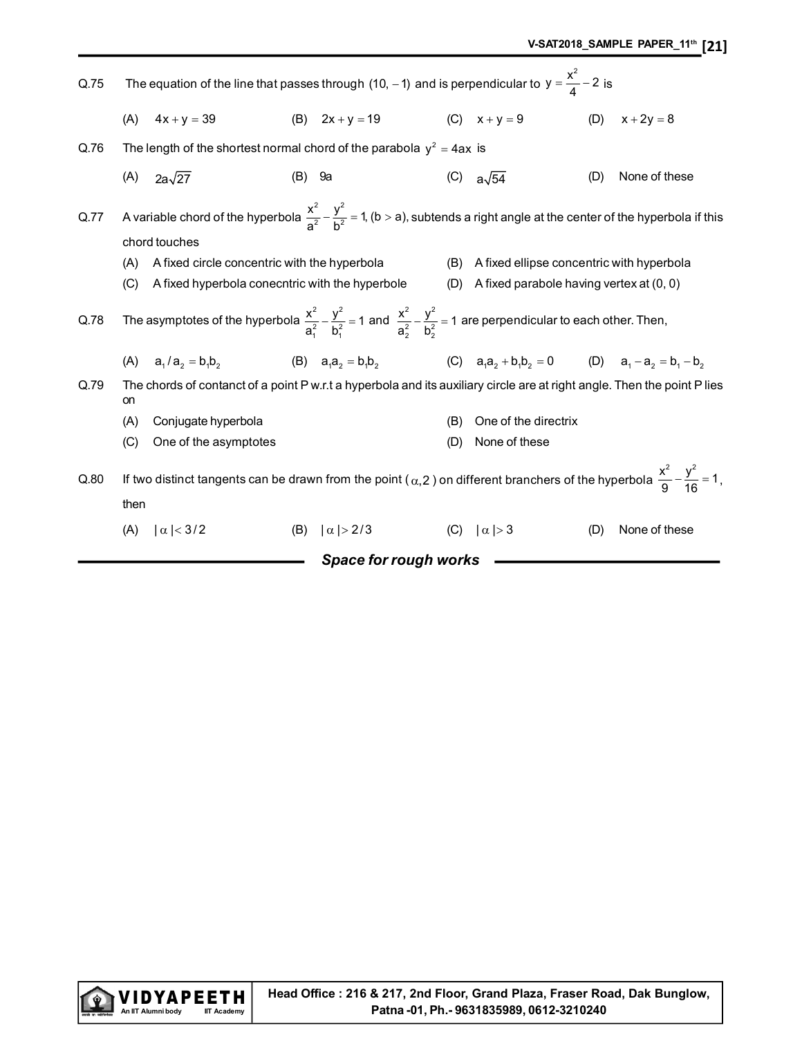| Q.75 | The equation of the line that passes through (10, -1) and is perpendicular to $y = \frac{x^2}{4} - 2$ is |                                                                                                                                                                     |  |                                                                             |     |                                               |     |               |  |
|------|----------------------------------------------------------------------------------------------------------|---------------------------------------------------------------------------------------------------------------------------------------------------------------------|--|-----------------------------------------------------------------------------|-----|-----------------------------------------------|-----|---------------|--|
|      | (A)                                                                                                      | $4x + y = 39$                                                                                                                                                       |  | (B) $2x + y = 19$                                                           |     | (C) $x + y = 9$                               | (D) | $x + 2y = 8$  |  |
| Q.76 |                                                                                                          | The length of the shortest normal chord of the parabola $y^2 = 4ax$ is                                                                                              |  |                                                                             |     |                                               |     |               |  |
|      | (A)                                                                                                      | $2a\sqrt{27}$                                                                                                                                                       |  | $(B)$ 9a                                                                    |     | (C) $a\sqrt{54}$                              | (D) | None of these |  |
| Q.77 |                                                                                                          | A variable chord of the hyperbola $\frac{x^2}{a^2} - \frac{y^2}{b^2} = 1$ , (b > a), subtends a right angle at the center of the hyperbola if this<br>chord touches |  |                                                                             |     |                                               |     |               |  |
|      | (A)                                                                                                      | A fixed circle concentric with the hyperbola                                                                                                                        |  |                                                                             |     | (B) A fixed ellipse concentric with hyperbola |     |               |  |
|      | (C)                                                                                                      | A fixed hyperbola conecntric with the hyperbole                                                                                                                     |  |                                                                             | (D) | A fixed parabole having vertex at (0, 0)      |     |               |  |
| Q.78 |                                                                                                          | The asymptotes of the hyperbola $\frac{x^2}{a_1^2} - \frac{y^2}{b_1^2} = 1$ and $\frac{x^2}{a_2^2} - \frac{y^2}{b_2^2} = 1$ are perpendicular to each other. Then,  |  |                                                                             |     |                                               |     |               |  |
|      |                                                                                                          | (A) $a_1/a_2 = b_1 b_2$                                                                                                                                             |  | (B) $a_1a_2 = b_1b_2$ (C) $a_1a_2 + b_1b_2 = 0$ (D) $a_1 - a_2 = b_1 - b_2$ |     |                                               |     |               |  |
| Q.79 | on                                                                                                       | The chords of contanct of a point P w.r.t a hyperbola and its auxiliary circle are at right angle. Then the point P lies                                            |  |                                                                             |     |                                               |     |               |  |
|      | (A)                                                                                                      | Conjugate hyperbola                                                                                                                                                 |  |                                                                             | (B) | One of the directrix                          |     |               |  |
|      | (C)                                                                                                      | One of the asymptotes                                                                                                                                               |  |                                                                             | (D) | None of these                                 |     |               |  |
| Q.80 | then                                                                                                     | If two distinct tangents can be drawn from the point ( $\alpha$ , 2) on different branchers of the hyperbola $\frac{x^2}{\alpha} - \frac{y^2}{16} = 1$ ,            |  |                                                                             |     |                                               |     |               |  |
|      | (A)                                                                                                      | $ \alpha $ < 3/2                                                                                                                                                    |  | (B) $ \alpha  > 2/3$                                                        |     | (C) $ \alpha  > 3$                            | (D) | None of these |  |
|      |                                                                                                          |                                                                                                                                                                     |  | Space for rough works                                                       |     |                                               |     |               |  |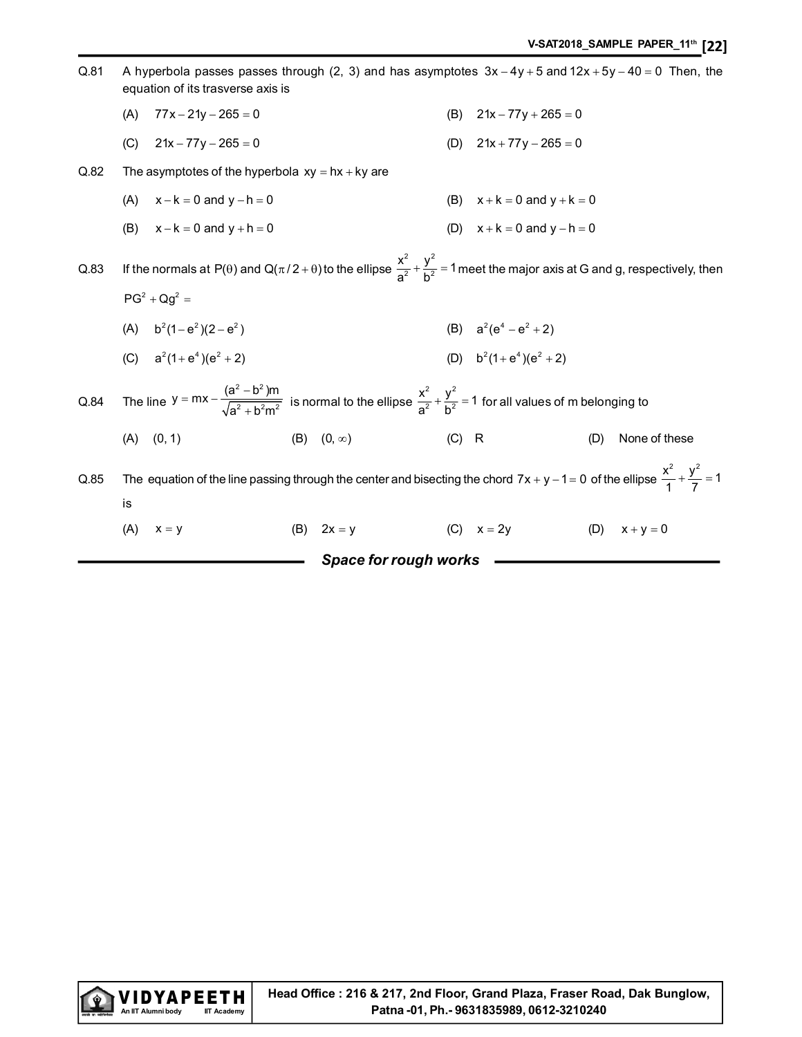|      |     |                                                                                                                                                                     |     | Space for rough works |         |                                 |     |               |
|------|-----|---------------------------------------------------------------------------------------------------------------------------------------------------------------------|-----|-----------------------|---------|---------------------------------|-----|---------------|
|      | (A) | $x = y$                                                                                                                                                             | (B) | $2x = y$              |         | (C) $x = 2y$                    | (D) | $x + y = 0$   |
|      | is  |                                                                                                                                                                     |     |                       |         |                                 |     |               |
| Q.85 |     | The equation of the line passing through the center and bisecting the chord $7x + y - 1 = 0$ of the ellipse $\frac{x^2}{1} + \frac{y^2}{7} = 1$                     |     |                       |         |                                 |     |               |
|      | (A) | (0, 1)                                                                                                                                                              |     | (B) $(0, \infty)$     | $(C)$ R |                                 | (D) | None of these |
| Q.84 |     | The line $y = mx - \frac{(a^2 - b^2)m}{\sqrt{a^2 + b^2m^2}}$ is normal to the ellipse $\frac{x^2}{a^2} + \frac{y^2}{b^2} = 1$ for all values of m belonging to      |     |                       |         |                                 |     |               |
|      |     | (C) $a^2(1+e^4)(e^2+2)$                                                                                                                                             |     |                       |         | (D) $b^2(1+e^4)(e^2+2)$         |     |               |
|      |     | (A) $b^2(1-e^2)(2-e^2)$                                                                                                                                             |     |                       |         | (B) $a^2(e^4 - e^2 + 2)$        |     |               |
|      |     | $PG2 + Qq2 =$                                                                                                                                                       |     |                       |         |                                 |     |               |
| Q.83 |     | If the normals at P( $\theta$ ) and Q( $\pi/2 + \theta$ ) to the ellipse $\frac{x^2}{a^2} + \frac{y^2}{b^2} = 1$ meet the major axis at G and g, respectively, then |     |                       |         |                                 |     |               |
|      | (B) | $x - k = 0$ and $y + h = 0$                                                                                                                                         |     |                       |         | (D) $x + k = 0$ and $y - h = 0$ |     |               |
|      | (A) | $x - k = 0$ and $y - h = 0$                                                                                                                                         |     |                       |         | (B) $x + k = 0$ and $y + k = 0$ |     |               |
| Q.82 |     | The asymptotes of the hyperbola $xy = hx + ky$ are                                                                                                                  |     |                       |         |                                 |     |               |
|      | (C) | $21x - 77y - 265 = 0$                                                                                                                                               |     |                       |         | (D) $21x + 77y - 265 = 0$       |     |               |
|      | (A) | $77x - 21y - 265 = 0$                                                                                                                                               |     |                       |         | (B) $21x - 77y + 265 = 0$       |     |               |
| Q.81 |     | A hyperbola passes passes through (2, 3) and has asymptotes $3x - 4y + 5$ and $12x + 5y - 40 = 0$ Then, the<br>equation of its trasverse axis is                    |     |                       |         |                                 |     |               |